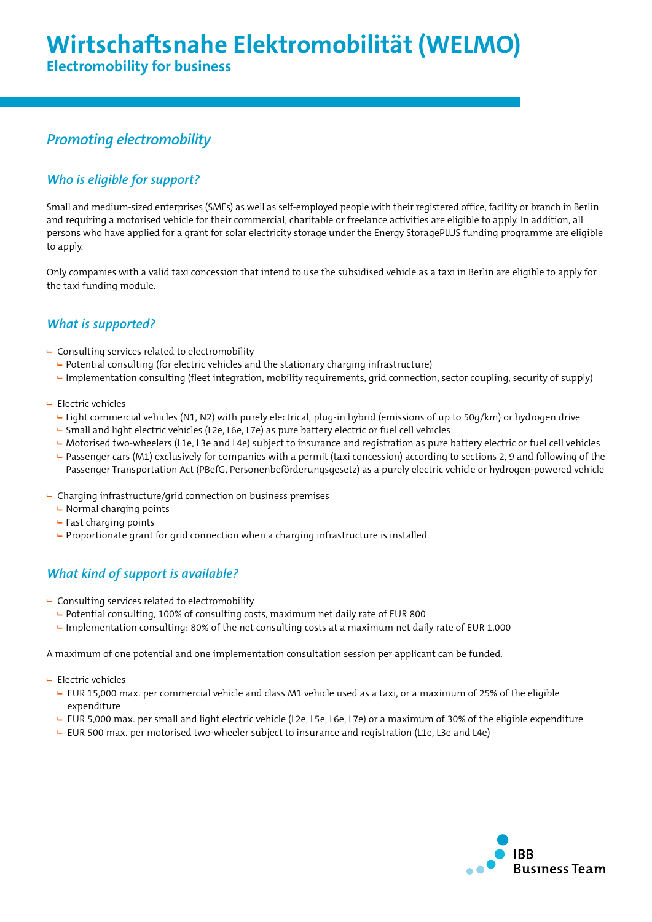# *Promoting electromobility*

## *Who is eligible for support?*

Small and medium-sized enterprises (SMEs) as well as self-employed people with their registered office, facility or branch in Berlin and requiring a motorised vehicle for their commercial, charitable or freelance activities are eligible to apply. In addition, all persons who have applied for a grant for solar electricity storage under the Energy StoragePLUS funding programme are eligible to apply.

Only companies with a valid taxi concession that intend to use the subsidised vehicle as a taxi in Berlin are eligible to apply for the taxi funding module.

### *What is supported?*

- $\vdash$  Consulting services related to electromobility
	- $\blacktriangleright$  Potential consulting (for electric vehicles and the stationary charging infrastructure)
	- Implementation consulting (fleet integration, mobility requirements, grid connection, sector coupling, security of supply)
- $E$  Electric vehicles
	- Light commercial vehicles (N1, N2) with purely electrical, plug-in hybrid (emissions of up to 50g/km) or hydrogen drive
	- Small and light electric vehicles (L2e, L6e, L7e) as pure battery electric or fuel cell vehicles
	- ► Motorised two-wheelers (L1e, L3e and L4e) subject to insurance and registration as pure battery electric or fuel cell vehicles
	- Passenger cars (M1) exclusively for companies with a permit (taxi concession) according to sections 2, 9 and following of the Passenger Transportation Act (PBefG, Personenbeförderungsgesetz) as a purely electric vehicle or hydrogen-powered vehicle
- $\vdash$  Charging infrastructure/grid connection on business premises
	- $\vdash$  Normal charging points
	- $\vdash$  Fast charging points
	- $\blacktriangleright$  Proportionate grant for grid connection when a charging infrastructure is installed

# *What kind of support is available?*

- $\vdash$  Consulting services related to electromobility
	- $\blacktriangleright$  Potential consulting, 100% of consulting costs, maximum net daily rate of EUR 800
	- $\blacktriangle$  Implementation consulting: 80% of the net consulting costs at a maximum net daily rate of EUR 1,000

A maximum of one potential and one implementation consultation session per applicant can be funded.

- $E$ Flectric vehicles
	- EUR 15,000 max. per commercial vehicle and class M1 vehicle used as a taxi, or a maximum of 25% of the eligible expenditure
	- EUR 5,000 max. per small and light electric vehicle (L2e, L5e, L6e, L7e) or a maximum of 30% of the eligible expenditure
	- EUR 500 max. per motorised two-wheeler subject to insurance and registration (L1e, L3e and L4e)